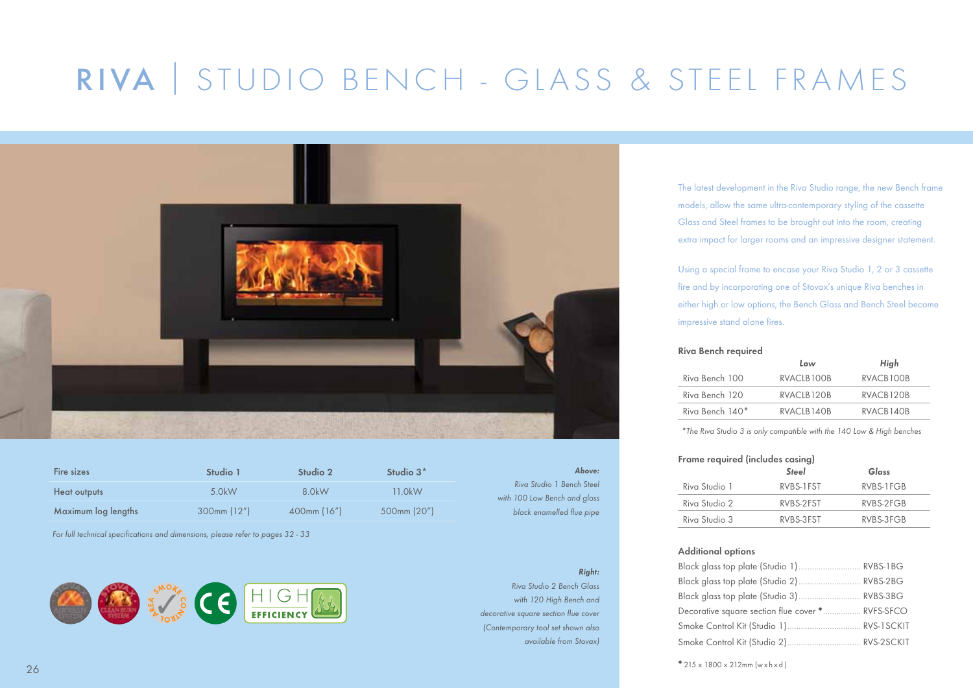## RIVA I STUDIO BENCH - GLASS & STEEL FRAMES



| Fire sizes          | Studio 1         | Studio 2         | Studio $3^*$ |
|---------------------|------------------|------------------|--------------|
| Heat outputs        | $5$ OkW          | 8 OkW            | $11$ OkW     |
| Maximum log lengths | $300$ mm $(12")$ | $400$ mm $(16")$ | 500mm (20")  |

*For full technical specifications and dimensions, please refer to pages 32 - 33*



*Above: Riva Studio 1 Bench Steel with 100 Low Bench and gloss black enamelled flue pipe*

### *Right:*

*Riva Studio 2 Bench Glass with 120 High Bench and decorative square section flue cover (Contemporary tool set shown also available from Stovax)*

The latest development in the Riva Studio range, the new Bench frame models, allow the same ultra-contemporary styling of the cassette Glass and Steel frames to be brought out into the room, creating extra impact for larger rooms and an impressive designer statement.

Using a special frame to encase your Riva Studio 1, 2 or 3 cassette fire and by incorporating one of Stovax's unique Riva benches in either high or low options, the Bench Glass and Bench Steel become impressive stand alone fires.

### Riva Bench required

|                 | Low                     | High      |
|-----------------|-------------------------|-----------|
| Riva Bench 100  | RVACIB <sub>100</sub> B | RVACB100B |
| Riva Bench 120  | RVACIB <sub>120</sub> B | RVACB120B |
| Riva Bench 140* | RVACLB140B              | RVACB140B |

*\*The Riva Studio 3 is only compatible with the 140 Low & High benches*

| Frame required (includes casing) |              |            |  |
|----------------------------------|--------------|------------|--|
|                                  | <b>Steel</b> | Glass      |  |
| Riva Studio 1                    | RVBS-1FST    | RVBS-1 FGB |  |
| Riva Studio 2                    | RVBS-2FST    | RVBS-2FGB  |  |
| Riva Studio 3                    | RVBS-3FST    | RVBS-3FGB  |  |

### Additional options

| Black glass top plate (Studio 1) RVBS-1BG        |  |
|--------------------------------------------------|--|
|                                                  |  |
|                                                  |  |
| Decorative square section flue cover * RVFS-SFCO |  |
|                                                  |  |
|                                                  |  |

◆ 215 x 1800 x 212mm (w x h x d )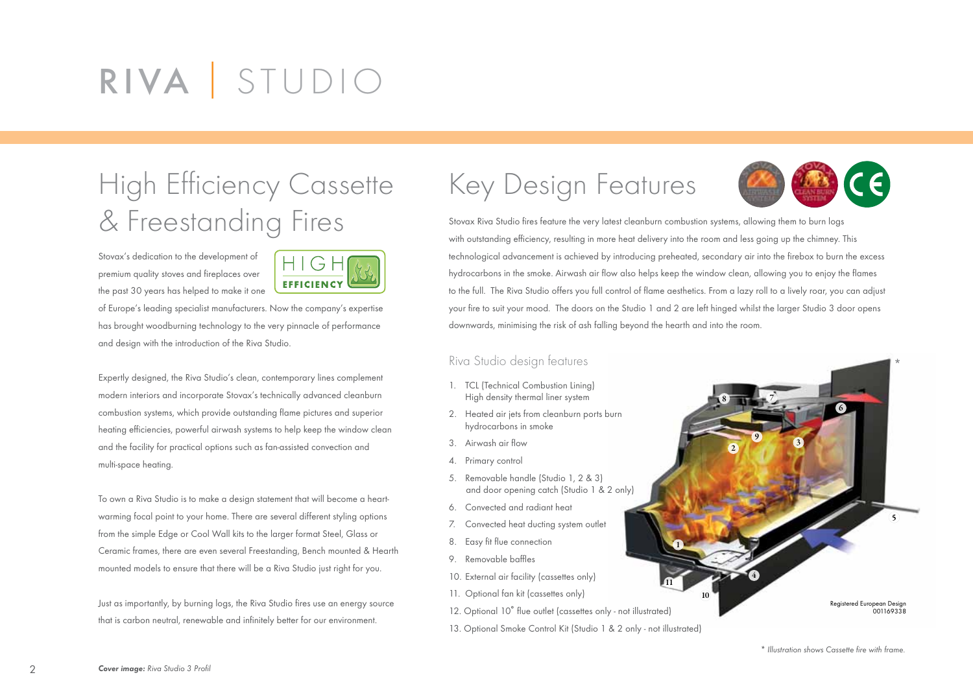# RIVA I STUDIO

## High Efficiency Cassette & Freestanding Fires

Stovax's dedication to the development of premium quality stoves and fireplaces over the past 30 years has helped to make it one



of Europe's leading specialist manufacturers. Now the company's expertise has brought woodburning technology to the very pinnacle of performance and design with the introduction of the Riva Studio.

Expertly designed, the Riva Studio's clean, contemporary lines complement modern interiors and incorporate Stovax's technically advanced cleanburn combustion systems, which provide outstanding flame pictures and superior heating efficiencies, powerful airwash systems to help keep the window clean and the facility for practical options such as fan-assisted convection and multi-space heating.

To own a Riva Studio is to make a design statement that will become a heartwarming focal point to your home. There are several different styling options from the simple Edge or Cool Wall kits to the larger format Steel, Glass or Ceramic frames, there are even several Freestanding, Bench mounted & Hearth mounted models to ensure that there will be a Riva Studio just right for you.

Just as importantly, by burning logs, the Riva Studio fires use an energy source that is carbon neutral, renewable and infinitely better for our environment.

### Key Design Features



7

3

9

4

2

8

Stovax Riva Studio fires feature the very latest cleanburn combustion systems, allowing them to burn logs with outstanding efficiency, resulting in more heat delivery into the room and less going up the chimney. This technological advancement is achieved by introducing preheated, secondary air into the firebox to burn the excess hydrocarbons in the smoke. Airwash air flow also helps keep the window clean, allowing you to enjoy the flames to the full. The Riva Studio offers you full control of flame aesthetics. From a lazy roll to a lively roar, you can adjust your fire to suit your mood. The doors on the Studio 1 and 2 are left hinged whilst the larger Studio 3 door opens downwards, minimising the risk of ash falling beyond the hearth and into the room.

10

1

11

### Riva Studio design features

- 1. TCL (Technical Combustion Lining) High density thermal liner system
- 2. Heated air jets from cleanburn ports burn hydrocarbons in smoke
- 3. Airwash air flow
- 4. Primary control
- 5. Removable handle (Studio 1, 2 & 3) and door opening catch (Studio 1 & 2 only)
- 6. Convected and radiant heat
- 7. Convected heat ducting system outlet
- 8. Easy fit flue connection
- 9. Removable baffles
- 10. External air facility (cassettes only)
- 11. Optional fan kit (cassettes only)
- 12. Optional 10˚ flue outlet (cassettes only not illustrated)
- 13. Optional Smoke Control Kit (Studio 1 & 2 only not illustrated)

6

 $\left(5\right)$ 

\*

001169338

Registered European Design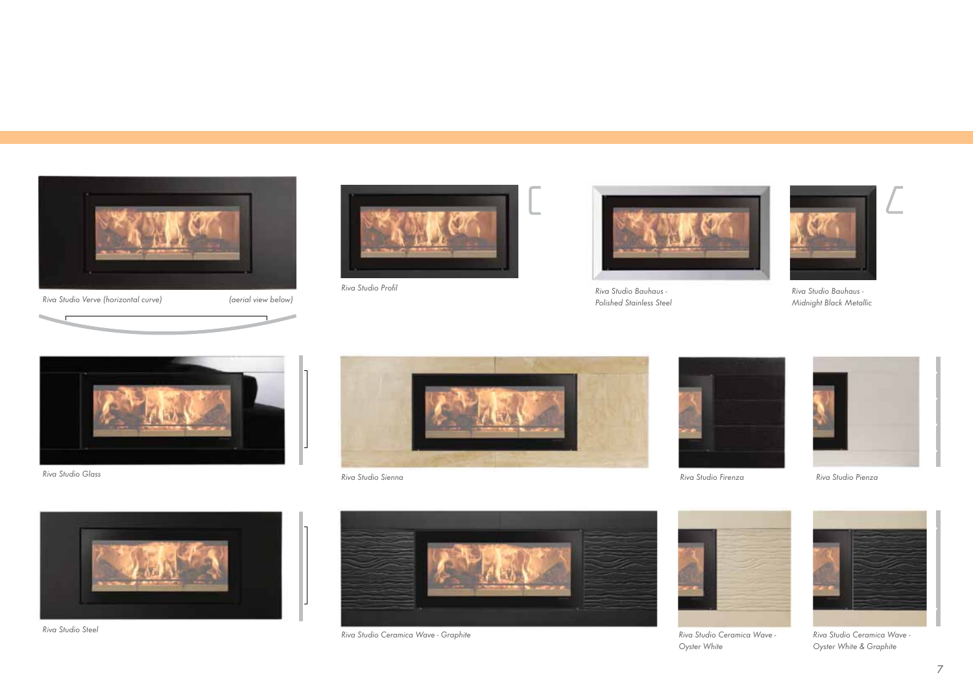

*Riva Studio Verve (horizontal curve) (aerial view below)*





*Riva Studio Profil Riva Studio Bauhaus - Polished Stainless Steel*



*Riva Studio Bauhaus - Midnight Black Metallic*



*Riva Studio Glass*









*Riva Studio Steel*



*Riva Studio Ceramica Wave - Graphite Riva Studio Ceramica Wave -*



*Oyster White*



*Riva Studio Ceramica Wave - Oyster White & Graphite*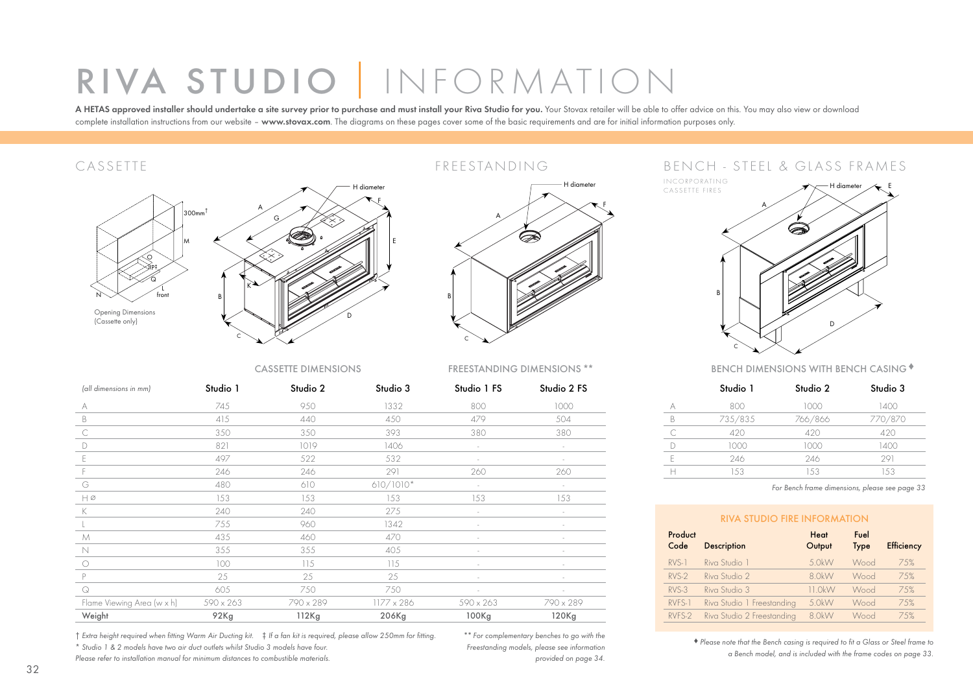# RIVA STUDIO | INFORMATION

A HETAS approved installer should undertake a site survey prior to purchase and must install your Riva Studio for you. Your Stovax retailer will be able to offer advice on this. You may also view or download complete installation instructions from our website - www.stovax.com. The diagrams on these pages cover some of the basic requirements and are for initial information purposes only.



### CASSETTE FREESTANDING



### CASSETTE DIMENSIONS FREESTANDING DIMENSIONS \*\*

| Studio 2 FS |
|-------------|
|             |
|             |
|             |
|             |
|             |
|             |
|             |
|             |
|             |
|             |
|             |
|             |
|             |
|             |
|             |
|             |
|             |
| 790 x 289   |

† *Extra height required when fitting Warm Air Ducting kit.* ‡ *If a fan kit is required, please allow 250mm for fitting.* \* *Studio 1 & 2 models have two air duct outlets whilst Studio 3 models have four.*

*Please refer to installation manual for minimum distances to combustible materials.*

\*\* *For complementary benches to go with the Freestanding models, please see information provided on page 34.*

### BENCH - STEEL & GLASS FRAMES

INCORPORATING CASSETTE FIRES A B C H diameter  $\overline{\phantom{a}}$  E D

BENCH DIMENSIONS WITH BENCH CASING ♦

|           | Studio 1 | Studio 2 | Studio 3 |
|-----------|----------|----------|----------|
|           | 800      | 1000     | 1400     |
| R         | 735/835  | 766/866  | 770/870  |
| $\subset$ | 420      | 420      | 420      |
|           | 1000     | 1000     | 1400     |
| F         | 246      | 246      | 291      |
|           | 153      | 153      | 153      |

*For Bench frame dimensions, please see page 33*

| <b>RIVA STUDIO FIRE INFORMATION</b> |                            |                |                     |                   |
|-------------------------------------|----------------------------|----------------|---------------------|-------------------|
| Product<br>Code                     | <b>Description</b>         | Heat<br>Output | Fuel<br><b>Type</b> | <b>Efficiency</b> |
| $RVS-1$                             | Riva Studio 1              | 5.0kW          | Wood                | 7.5%              |
| $RVS-2$                             | Riva Studio 2              | 8 OkW          | Wood                | 7.5%              |
| $RVS-3$                             | Riva Studio 3              | $11$ OkW       | Wood                | 7.5%              |
| RVFS-1                              | Riva Studio 1 Freestanding | 5.0kW          | Wood                | 75%               |
| RVFS-2                              | Riva Studio 2 Freestanding | 8.0kW          | Wood                | 75%               |

♦ *Please note that the Bench casing is required to fit a Glass or Steel frame to a Bench model, and is included with the frame codes on page 33.*